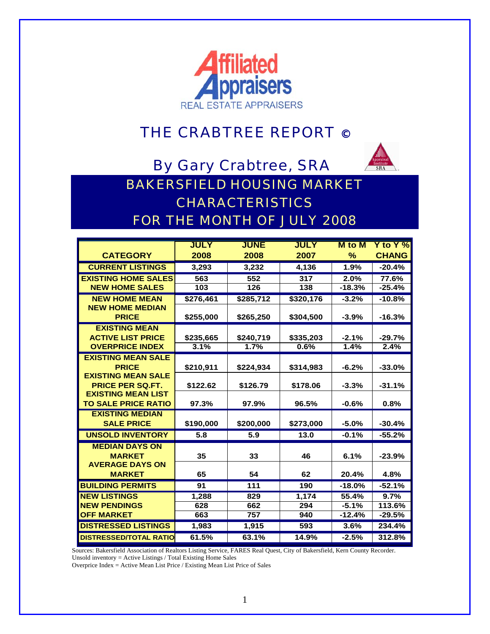

## THE CRABTREE REPORT ©

By Gary Crabtree, SRA



BAKERSFIELD HOUSING MARKET CHARACTERISTICS FOR THE MONTH OF JULY 2008

|                                           | <b>JULY</b> | <b>JUNE</b> | <b>JULY</b> | <b>M</b> to M       | Y to Y $%$         |
|-------------------------------------------|-------------|-------------|-------------|---------------------|--------------------|
| <b>CATEGORY</b>                           | 2008        | 2008        | 2007        | $\%$                | <b>CHANG</b>       |
| <b>CURRENT LISTINGS</b>                   | 3,293       | 3,232       | 4,136       | 1.9%                | $-20.4%$           |
| <b>EXISTING HOME SALES</b>                | 563         | 552         | 317         | 2.0%                | 77.6%              |
| <b>NEW HOME SALES</b>                     | 103         | 126         | 138         | $-18.3%$            | $-25.4%$           |
| <b>NEW HOME MEAN</b>                      | \$276,461   | \$285,712   | \$320,176   | $-3.2%$             | $-10.8%$           |
| <b>NEW HOME MEDIAN</b><br><b>PRICE</b>    | \$255,000   | \$265,250   | \$304,500   | $-3.9%$             | $-16.3%$           |
| <b>EXISTING MEAN</b>                      |             |             |             |                     |                    |
| <b>ACTIVE LIST PRICE</b>                  | \$235,665   | \$240,719   | \$335,203   | $-2.1%$             | $-29.7%$           |
| <b>OVERPRICE INDEX</b>                    | 3.1%        | 1.7%        | 0.6%        | 1.4%                | 2.4%               |
| <b>EXISTING MEAN SALE</b>                 |             |             |             |                     |                    |
| <b>PRICE</b><br><b>EXISTING MEAN SALE</b> | \$210,911   | \$224,934   | \$314,983   | $-6.2%$             | $-33.0%$           |
| <b>PRICE PER SQ.FT.</b>                   | \$122.62    | \$126.79    | \$178.06    | $-3.3%$             | $-31.1%$           |
| <b>EXISTING MEAN LIST</b>                 |             |             |             |                     |                    |
| <b>TO SALE PRICE RATIO</b>                | 97.3%       | 97.9%       | 96.5%       | $-0.6%$             | 0.8%               |
| <b>EXISTING MEDIAN</b>                    |             |             |             |                     |                    |
| <b>SALE PRICE</b>                         | \$190,000   | \$200,000   | \$273,000   | $-5.0%$             | $-30.4%$           |
| <b>UNSOLD INVENTORY</b>                   | 5.8         | 5.9         | 13.0        | $-0.1%$             | $-55.2%$           |
| <b>MEDIAN DAYS ON</b>                     |             |             |             |                     |                    |
| <b>MARKET</b>                             | 35          | 33          | 46          | 6.1%                | $-23.9%$           |
| <b>AVERAGE DAYS ON</b>                    |             |             |             |                     |                    |
| <b>MARKET</b>                             | 65          | 54          | 62          | 20.4%               | 4.8%               |
| <b>BUILDING PERMITS</b>                   | 91          | 111         | 190         | $-18.0%$            | $-52.1%$           |
| <b>NEW LISTINGS</b>                       | 1,288       | 829         | 1.174       | 55.4%               | 9.7%               |
| <b>NEW PENDINGS</b><br><b>OFF MARKET</b>  | 628<br>663  | 662<br>757  | 294<br>940  | $-5.1%$<br>$-12.4%$ | 113.6%<br>$-29.5%$ |
| <b>DISTRESSED LISTINGS</b>                |             |             | 593         |                     |                    |
|                                           | 1,983       | 1,915       |             | 3.6%                | 234.4%             |
| <b>DISTRESSED/TOTAL RATIO</b>             | 61.5%       | 63.1%       | 14.9%       | $-2.5%$             | 312.8%             |

Sources: Bakersfield Association of Realtors Listing Service, FARES Real Quest, City of Bakersfield, Kern County Recorder.

Unsold inventory = Active Listings / Total Existing Home Sales

Overprice Index = Active Mean List Price / Existing Mean List Price of Sales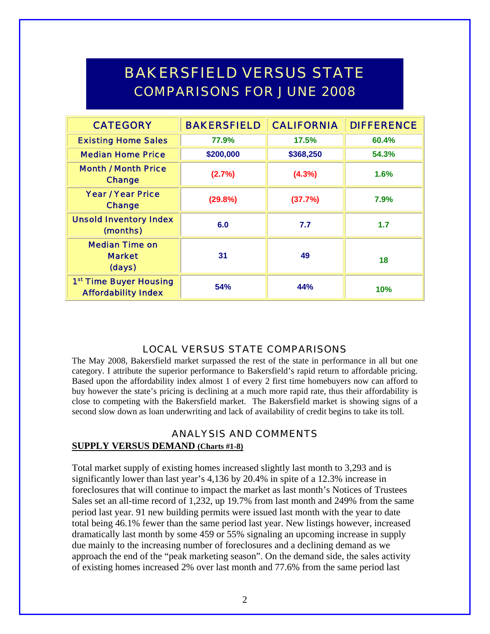# BAKERSFIELD VERSUS STATE COMPARISONS FOR JUNE 2008

| <b>CATEGORY</b>                                                  | <b>BAKERSFIELD</b> | <b>CALIFORNIA</b> | <b>DIFFERENCE</b> |
|------------------------------------------------------------------|--------------------|-------------------|-------------------|
| <b>Existing Home Sales</b>                                       | 77.9%              | 17.5%             | 60.4%             |
| <b>Median Home Price</b>                                         | \$200,000          | \$368,250         | 54.3%             |
| <b>Month / Month Price</b><br><b>Change</b>                      | (2.7%)             | $(4.3\%)$         | 1.6%              |
| <b>Year / Year Price</b><br><b>Change</b>                        | (29.8%)            | (37.7%)           | 7.9%              |
| <b>Unsold Inventory Index</b><br>(months)                        | 6.0                | 7.7               | 1.7               |
| <b>Median Time on</b><br><b>Market</b><br>(days)                 | 31                 | 49                | 18                |
| 1 <sup>st</sup> Time Buyer Housing<br><b>Affordability Index</b> | 54%                | 44%               | 10%               |

#### LOCAL VERSUS STATE COMPARISONS

The May 2008, Bakersfield market surpassed the rest of the state in performance in all but one category. I attribute the superior performance to Bakersfield's rapid return to affordable pricing. Based upon the affordability index almost 1 of every 2 first time homebuyers now can afford to buy however the state's pricing is declining at a much more rapid rate, thus their affordability is close to competing with the Bakersfield market. The Bakersfield market is showing signs of a second slow down as loan underwriting and lack of availability of credit begins to take its toll.

#### ANALYSIS AND COMMENTS

#### **SUPPLY VERSUS DEMAND (Charts #1-8)**

Total market supply of existing homes increased slightly last month to 3,293 and is significantly lower than last year's 4,136 by 20.4% in spite of a 12.3% increase in foreclosures that will continue to impact the market as last month's Notices of Trustees Sales set an all-time record of 1,232, up 19.7% from last month and 249% from the same period last year. 91 new building permits were issued last month with the year to date total being 46.1% fewer than the same period last year. New listings however, increased dramatically last month by some 459 or 55% signaling an upcoming increase in supply due mainly to the increasing number of foreclosures and a declining demand as we approach the end of the "peak marketing season". On the demand side, the sales activity of existing homes increased 2% over last month and 77.6% from the same period last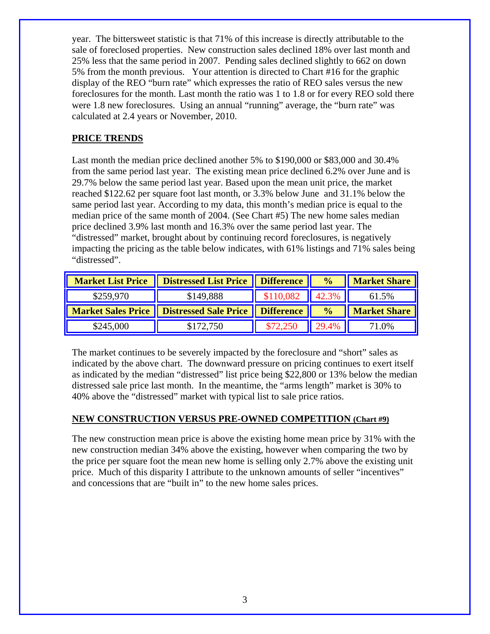year. The bittersweet statistic is that 71% of this increase is directly attributable to the sale of foreclosed properties. New construction sales declined 18% over last month and 25% less that the same period in 2007. Pending sales declined slightly to 662 on down 5% from the month previous. Your attention is directed to Chart #16 for the graphic display of the REO "burn rate" which expresses the ratio of REO sales versus the new foreclosures for the month. Last month the ratio was 1 to 1.8 or for every REO sold there were 1.8 new foreclosures. Using an annual "running" average, the "burn rate" was calculated at 2.4 years or November, 2010.

#### **PRICE TRENDS**

Last month the median price declined another 5% to \$190,000 or \$83,000 and 30.4% from the same period last year. The existing mean price declined 6.2% over June and is 29.7% below the same period last year. Based upon the mean unit price, the market reached \$122.62 per square foot last month, or 3.3% below June and 31.1% below the same period last year. According to my data, this month's median price is equal to the median price of the same month of 2004. (See Chart #5) The new home sales median price declined 3.9% last month and 16.3% over the same period last year. The "distressed" market, brought about by continuing record foreclosures, is negatively impacting the pricing as the table below indicates, with 61% listings and 71% sales being "distressed".

| <b>Market List Price</b> | Distressed List Price   Difference                      |           | $\frac{6}{6}$ | <b>Market Share</b> |
|--------------------------|---------------------------------------------------------|-----------|---------------|---------------------|
| \$259,970                | \$149,888                                               | \$110,082 | 42.3%         | 61.5%               |
|                          |                                                         |           |               |                     |
|                          | Market Sales Price   Distressed Sale Price   Difference |           | $\frac{0}{0}$ | <b>Market Share</b> |

The market continues to be severely impacted by the foreclosure and "short" sales as indicated by the above chart. The downward pressure on pricing continues to exert itself as indicated by the median "distressed" list price being \$22,800 or 13% below the median distressed sale price last month. In the meantime, the "arms length" market is 30% to 40% above the "distressed" market with typical list to sale price ratios.

#### **NEW CONSTRUCTION VERSUS PRE-OWNED COMPETITION (Chart #9)**

The new construction mean price is above the existing home mean price by 31% with the new construction median 34% above the existing, however when comparing the two by the price per square foot the mean new home is selling only 2.7% above the existing unit price. Much of this disparity I attribute to the unknown amounts of seller "incentives" and concessions that are "built in" to the new home sales prices.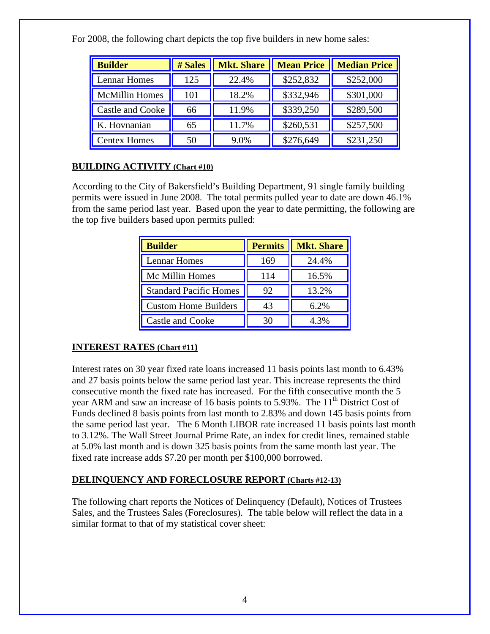| <b>Builder</b>        | # Sales | <b>Mkt. Share</b> | <b>Mean Price</b> | <b>Median Price</b> |
|-----------------------|---------|-------------------|-------------------|---------------------|
| <b>Lennar Homes</b>   | 125     | 22.4%             | \$252,832         | \$252,000           |
| <b>McMillin Homes</b> | 101     | 18.2%             | \$332,946         | \$301,000           |
| Castle and Cooke      | 66      | 11.9%             | \$339,250         | \$289,500           |
| K. Hovnanian          | 65      | 11.7%             | \$260,531         | \$257,500           |
| <b>Centex Homes</b>   | 50      | 9.0%              | \$276,649         | \$231,250           |

For 2008, the following chart depicts the top five builders in new home sales:

#### **BUILDING ACTIVITY (Chart #10)**

According to the City of Bakersfield's Building Department, 91 single family building permits were issued in June 2008. The total permits pulled year to date are down 46.1% from the same period last year. Based upon the year to date permitting, the following are the top five builders based upon permits pulled:

| <b>Builder</b>                | <b>Permits</b> | <b>Mkt. Share</b> |
|-------------------------------|----------------|-------------------|
| Lennar Homes                  | 169            | 24.4%             |
| Mc Millin Homes               | 114            | 16.5%             |
| <b>Standard Pacific Homes</b> | 92             | 13.2%             |
| <b>Custom Home Builders</b>   | 43             | 6.2%              |
| <b>Castle and Cooke</b>       |                | 4.3%              |

### **INTEREST RATES (Chart #11)**

Interest rates on 30 year fixed rate loans increased 11 basis points last month to 6.43% and 27 basis points below the same period last year. This increase represents the third consecutive month the fixed rate has increased. For the fifth consecutive month the 5 year ARM and saw an increase of 16 basis points to  $5.93\%$ . The  $11<sup>th</sup>$  District Cost of Funds declined 8 basis points from last month to 2.83% and down 145 basis points from the same period last year. The 6 Month LIBOR rate increased 11 basis points last month to 3.12%. The Wall Street Journal Prime Rate, an index for credit lines, remained stable at 5.0% last month and is down 325 basis points from the same month last year. The fixed rate increase adds \$7.20 per month per \$100,000 borrowed.

#### **DELINQUENCY AND FORECLOSURE REPORT (Charts #12-13)**

The following chart reports the Notices of Delinquency (Default), Notices of Trustees Sales, and the Trustees Sales (Foreclosures). The table below will reflect the data in a similar format to that of my statistical cover sheet: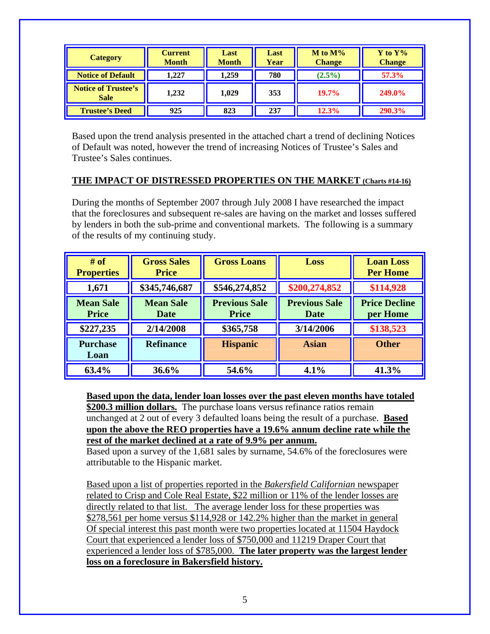| <b>Category</b>                           | <b>Current</b><br><b>Month</b> | Last<br><b>Month</b> | Last<br>Year | $M$ to $M\%$<br><b>Change</b> | $Y$ to $Y\%$<br><b>Change</b> |
|-------------------------------------------|--------------------------------|----------------------|--------------|-------------------------------|-------------------------------|
| <b>Notice of Default</b>                  | 1.227                          | 1,259                | 780          | $(2.5\%)$                     | 57.3%                         |
| <b>Notice of Trustee's</b><br><b>Sale</b> | 1,232                          | 1.029                | 353          | $19.7\%$                      | <b>249.0%</b>                 |
| <b>Trustee's Deed</b>                     | 925                            | 823                  | 237          | 12.3%                         | <b>290.3%</b>                 |

Based upon the trend analysis presented in the attached chart a trend of declining Notices of Default was noted, however the trend of increasing Notices of Trustee's Sales and Trustee's Sales continues.

#### **THE IMPACT OF DISTRESSED PROPERTIES ON THE MARKET (Charts #14-16)**

During the months of September 2007 through July 2008 I have researched the impact that the foreclosures and subsequent re-sales are having on the market and losses suffered by lenders in both the sub-prime and conventional markets. The following is a summary of the results of my continuing study.

| # of<br><b>Properties</b>        | <b>Gross Sales</b><br><b>Price</b> | <b>Gross Loans</b>                   | Loss                         | <b>Loan Loss</b><br><b>Per Home</b> |
|----------------------------------|------------------------------------|--------------------------------------|------------------------------|-------------------------------------|
| 1,671                            | \$345,746,687                      | \$546,274,852                        | \$200,274,852                | \$114,928                           |
| <b>Mean Sale</b><br><b>Price</b> | <b>Mean Sale</b><br>Date           | <b>Previous Sale</b><br><b>Price</b> | <b>Previous Sale</b><br>Date | <b>Price Decline</b><br>per Home    |
| \$227,235                        | 2/14/2008                          | \$365,758                            | 3/14/2006                    | \$138,523                           |
| <b>Purchase</b><br>Loan          | <b>Refinance</b>                   | <b>Hispanic</b>                      | <b>Asian</b>                 | <b>Other</b>                        |
| 63.4%                            | 36.6%                              | 54.6%                                | 4.1%                         | 41.3%                               |

**Based upon the data, lender loan losses over the past eleven months have totaled \$200.3 million dollars.** The purchase loans versus refinance ratios remain unchanged at 2 out of every 3 defaulted loans being the result of a purchase. **Based upon the above the REO properties have a 19.6% annum decline rate while the rest of the market declined at a rate of 9.9% per annum.**

Based upon a survey of the 1,681 sales by surname, 54.6% of the foreclosures were attributable to the Hispanic market.

Based upon a list of properties reported in the *Bakersfield Californian* newspaper related to Crisp and Cole Real Estate, \$22 million or 11% of the lender losses are directly related to that list. The average lender loss for these properties was \$278,561 per home versus \$114,928 or 142.2% higher than the market in general Of special interest this past month were two properties located at 11504 Haydock Court that experienced a lender loss of \$750,000 and 11219 Draper Court that experienced a lender loss of \$785,000. **The later property was the largest lender loss on a foreclosure in Bakersfield history.**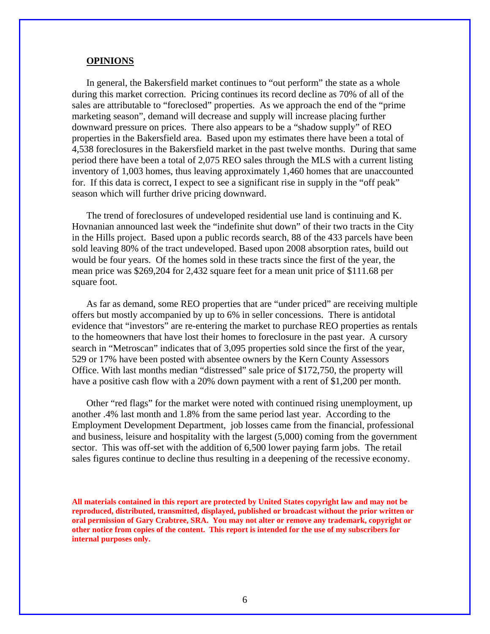#### **OPINIONS**

In general, the Bakersfield market continues to "out perform" the state as a whole during this market correction. Pricing continues its record decline as 70% of all of the sales are attributable to "foreclosed" properties. As we approach the end of the "prime marketing season", demand will decrease and supply will increase placing further downward pressure on prices. There also appears to be a "shadow supply" of REO properties in the Bakersfield area. Based upon my estimates there have been a total of 4,538 foreclosures in the Bakersfield market in the past twelve months. During that same period there have been a total of 2,075 REO sales through the MLS with a current listing inventory of 1,003 homes, thus leaving approximately 1,460 homes that are unaccounted for. If this data is correct, I expect to see a significant rise in supply in the "off peak" season which will further drive pricing downward.

The trend of foreclosures of undeveloped residential use land is continuing and K. Hovnanian announced last week the "indefinite shut down" of their two tracts in the City in the Hills project. Based upon a public records search, 88 of the 433 parcels have been sold leaving 80% of the tract undeveloped. Based upon 2008 absorption rates, build out would be four years. Of the homes sold in these tracts since the first of the year, the mean price was \$269,204 for 2,432 square feet for a mean unit price of \$111.68 per square foot.

As far as demand, some REO properties that are "under priced" are receiving multiple offers but mostly accompanied by up to 6% in seller concessions. There is antidotal evidence that "investors" are re-entering the market to purchase REO properties as rentals to the homeowners that have lost their homes to foreclosure in the past year. A cursory search in "Metroscan" indicates that of 3,095 properties sold since the first of the year, 529 or 17% have been posted with absentee owners by the Kern County Assessors Office. With last months median "distressed" sale price of \$172,750, the property will have a positive cash flow with a 20% down payment with a rent of \$1,200 per month.

Other "red flags" for the market were noted with continued rising unemployment, up another .4% last month and 1.8% from the same period last year. According to the Employment Development Department, job losses came from the financial, professional and business, leisure and hospitality with the largest (5,000) coming from the government sector. This was off-set with the addition of 6,500 lower paying farm jobs. The retail sales figures continue to decline thus resulting in a deepening of the recessive economy.

**All materials contained in this report are protected by United States copyright law and may not be reproduced, distributed, transmitted, displayed, published or broadcast without the prior written or oral permission of Gary Crabtree, SRA. You may not alter or remove any trademark, copyright or other notice from copies of the content. This report is intended for the use of my subscribers for internal purposes only.**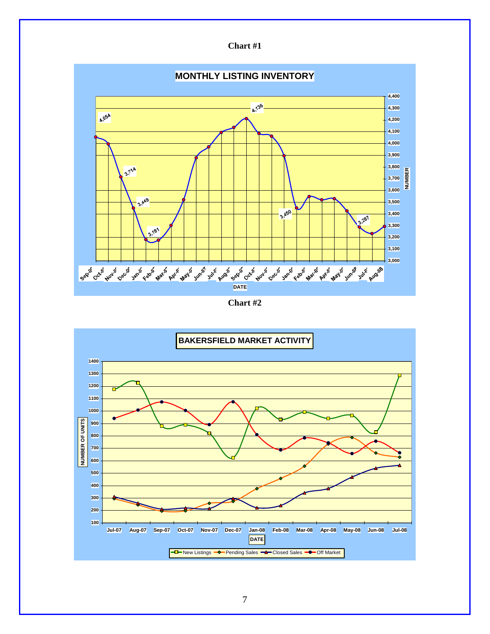

**Chart #2** 

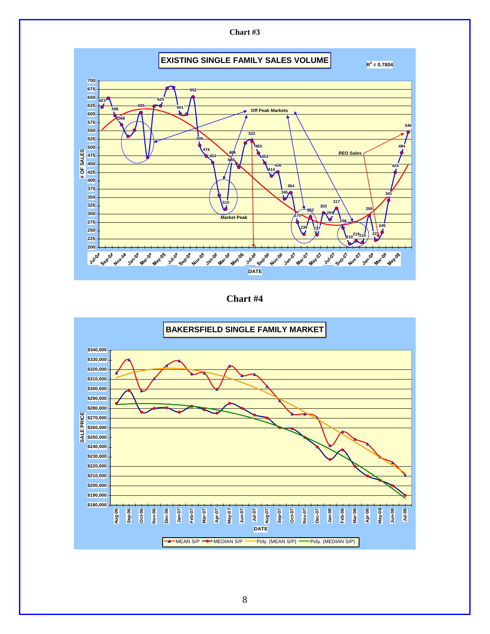

**Chart #4** 

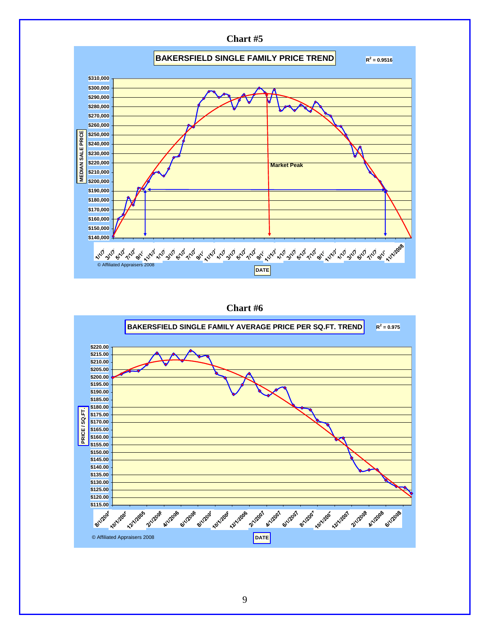

**Chart #6** 

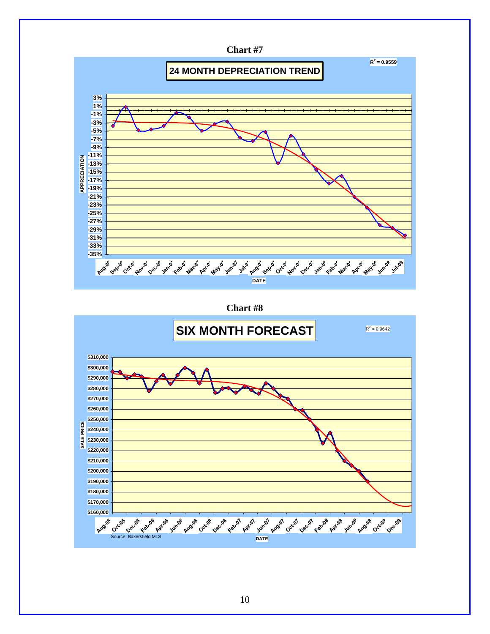

**Chart #8** 

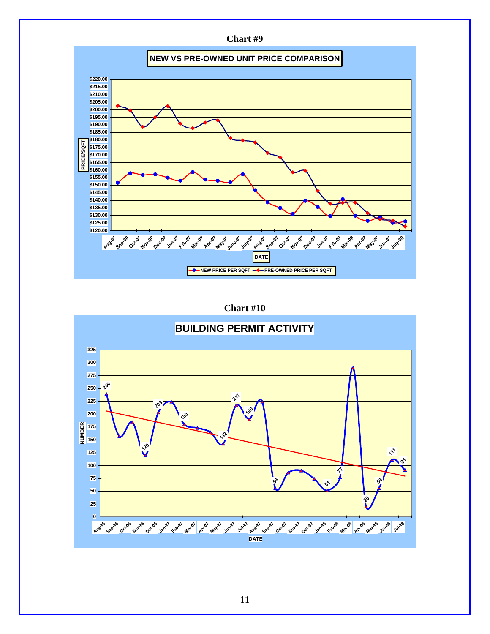

**Chart #10** 

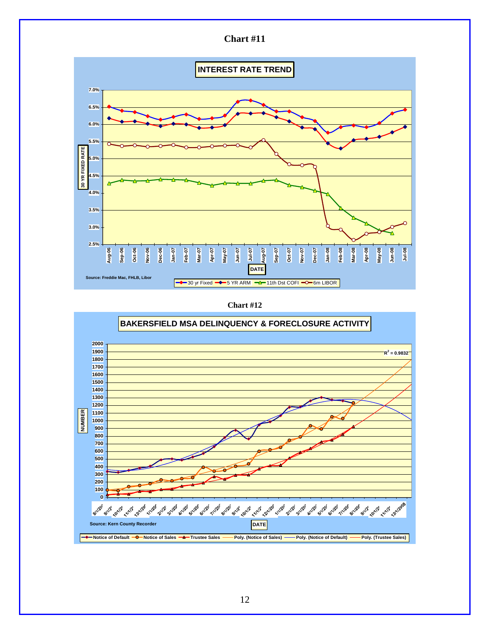

**Chart #12** 

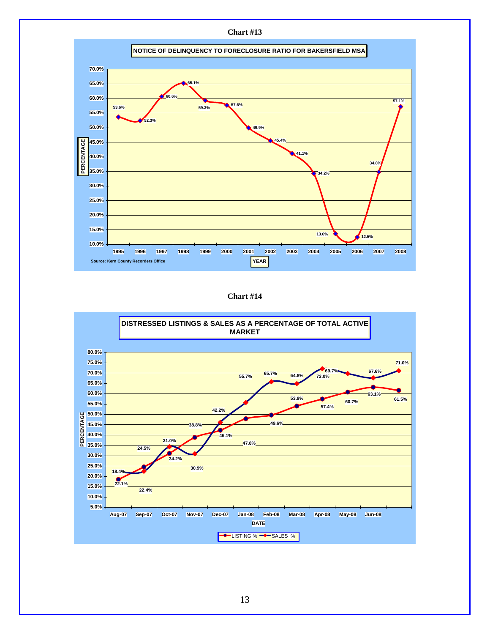

**Chart #14**